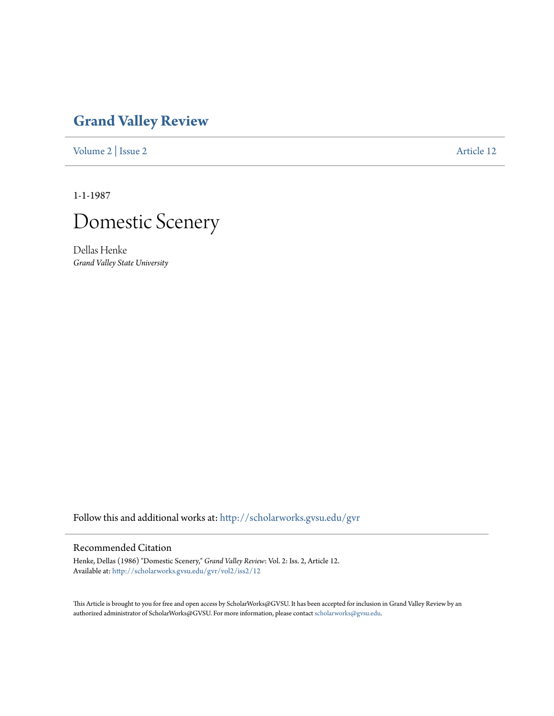## **[Grand Valley Review](http://scholarworks.gvsu.edu/gvr?utm_source=scholarworks.gvsu.edu%2Fgvr%2Fvol2%2Fiss2%2F12&utm_medium=PDF&utm_campaign=PDFCoverPages)**

[Volume 2](http://scholarworks.gvsu.edu/gvr/vol2?utm_source=scholarworks.gvsu.edu%2Fgvr%2Fvol2%2Fiss2%2F12&utm_medium=PDF&utm_campaign=PDFCoverPages) | [Issue 2](http://scholarworks.gvsu.edu/gvr/vol2/iss2?utm_source=scholarworks.gvsu.edu%2Fgvr%2Fvol2%2Fiss2%2F12&utm_medium=PDF&utm_campaign=PDFCoverPages) [Article 12](http://scholarworks.gvsu.edu/gvr/vol2/iss2/12?utm_source=scholarworks.gvsu.edu%2Fgvr%2Fvol2%2Fiss2%2F12&utm_medium=PDF&utm_campaign=PDFCoverPages)

1-1-1987



Dellas Henke *Grand Valley State University*

Follow this and additional works at: [http://scholarworks.gvsu.edu/gvr](http://scholarworks.gvsu.edu/gvr?utm_source=scholarworks.gvsu.edu%2Fgvr%2Fvol2%2Fiss2%2F12&utm_medium=PDF&utm_campaign=PDFCoverPages)

## Recommended Citation

Henke, Dellas (1986) "Domestic Scenery," *Grand Valley Review*: Vol. 2: Iss. 2, Article 12. Available at: [http://scholarworks.gvsu.edu/gvr/vol2/iss2/12](http://scholarworks.gvsu.edu/gvr/vol2/iss2/12?utm_source=scholarworks.gvsu.edu%2Fgvr%2Fvol2%2Fiss2%2F12&utm_medium=PDF&utm_campaign=PDFCoverPages)

This Article is brought to you for free and open access by ScholarWorks@GVSU. It has been accepted for inclusion in Grand Valley Review by an authorized administrator of ScholarWorks@GVSU. For more information, please contact [scholarworks@gvsu.edu.](mailto:scholarworks@gvsu.edu)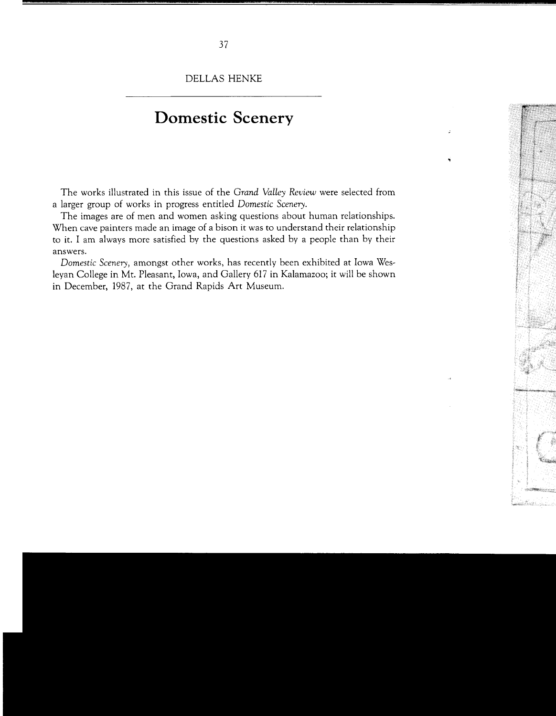DELLAS HENKE

## **Domestic Scenery**

The works illustrated in this issue of the *Grand Valley Review* were selected from a larger group of works in progress entitled *Domestic Scenery.* 

The images are of men and women asking questions about human relationships. When cave painters made an image of a bison it was to understand their relationship to it. I am always more satisfied by the questions asked by a people than by their answers.

*Domestic Scenery,* amongst other works, has recently been exhibited at Iowa Wesleyan College in Mt. Pleasant, Iowa, and Gallery 617 in Kalamazoo; it will be shown in December, 1987, at the Grand Rapids Art Museum.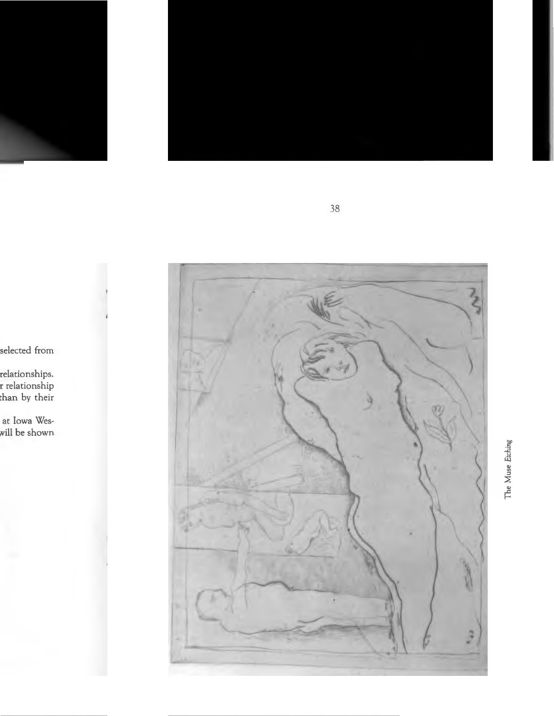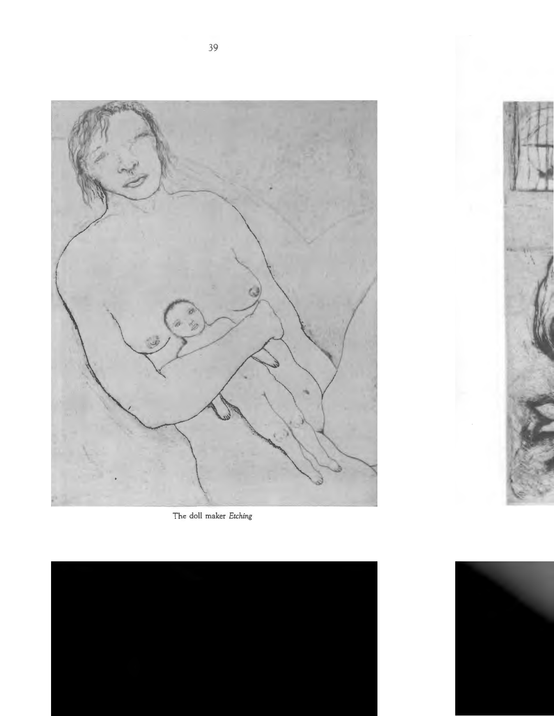

The doll maker Etching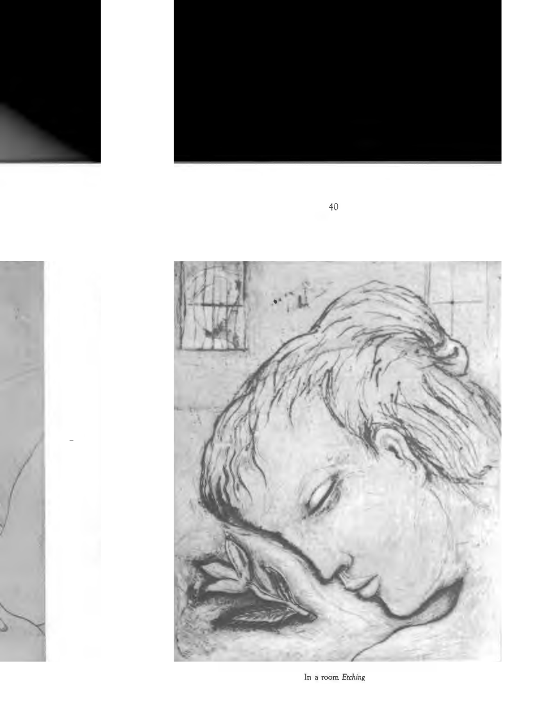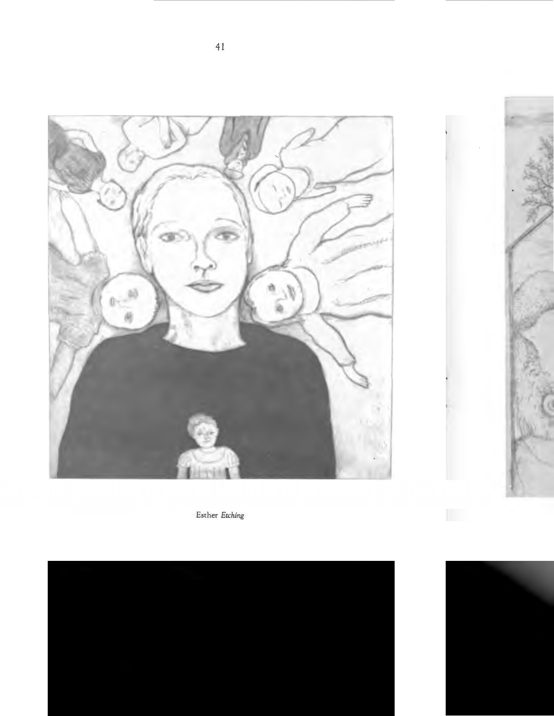

Esther *Etching*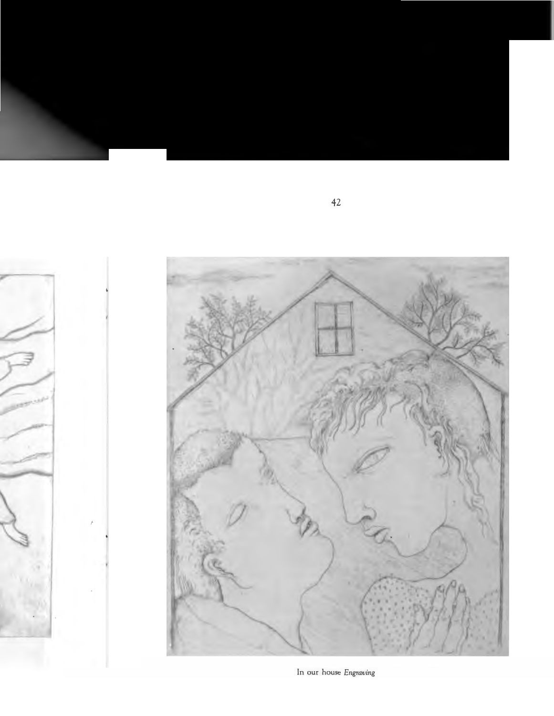

In our house Engraving